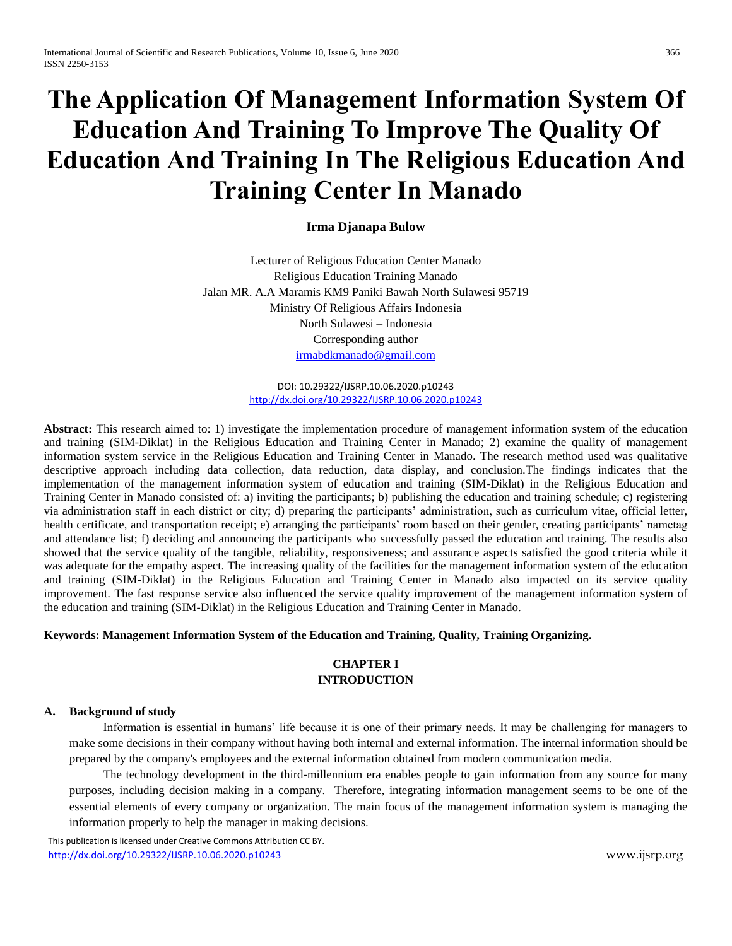# **The Application Of Management Information System Of Education And Training To Improve The Quality Of Education And Training In The Religious Education And Training Center In Manado**

**Irma Djanapa Bulow**

Lecturer of Religious Education Center Manado Religious Education Training Manado Jalan MR. A.A Maramis KM9 Paniki Bawah North Sulawesi 95719 Ministry Of Religious Affairs Indonesia North Sulawesi – Indonesia Corresponding author [irmabdkmanado@gmail.com](mailto:irmabdkmanado@gmail.com)

> DOI: 10.29322/IJSRP.10.06.2020.p10243 <http://dx.doi.org/10.29322/IJSRP.10.06.2020.p10243>

**Abstract:** This research aimed to: 1) investigate the implementation procedure of management information system of the education and training (SIM-Diklat) in the Religious Education and Training Center in Manado; 2) examine the quality of management information system service in the Religious Education and Training Center in Manado. The research method used was qualitative descriptive approach including data collection, data reduction, data display, and conclusion.The findings indicates that the implementation of the management information system of education and training (SIM-Diklat) in the Religious Education and Training Center in Manado consisted of: a) inviting the participants; b) publishing the education and training schedule; c) registering via administration staff in each district or city; d) preparing the participants' administration, such as curriculum vitae, official letter, health certificate, and transportation receipt; e) arranging the participants' room based on their gender, creating participants' nametag and attendance list; f) deciding and announcing the participants who successfully passed the education and training. The results also showed that the service quality of the tangible, reliability, responsiveness; and assurance aspects satisfied the good criteria while it was adequate for the empathy aspect. The increasing quality of the facilities for the management information system of the education and training (SIM-Diklat) in the Religious Education and Training Center in Manado also impacted on its service quality improvement. The fast response service also influenced the service quality improvement of the management information system of the education and training (SIM-Diklat) in the Religious Education and Training Center in Manado.

# **Keywords: Management Information System of the Education and Training, Quality, Training Organizing.**

# **CHAPTER I INTRODUCTION**

## **A. Background of study**

Information is essential in humans' life because it is one of their primary needs. It may be challenging for managers to make some decisions in their company without having both internal and external information. The internal information should be prepared by the company's employees and the external information obtained from modern communication media.

The technology development in the third-millennium era enables people to gain information from any source for many purposes, including decision making in a company. Therefore, integrating information management seems to be one of the essential elements of every company or organization. The main focus of the management information system is managing the information properly to help the manager in making decisions.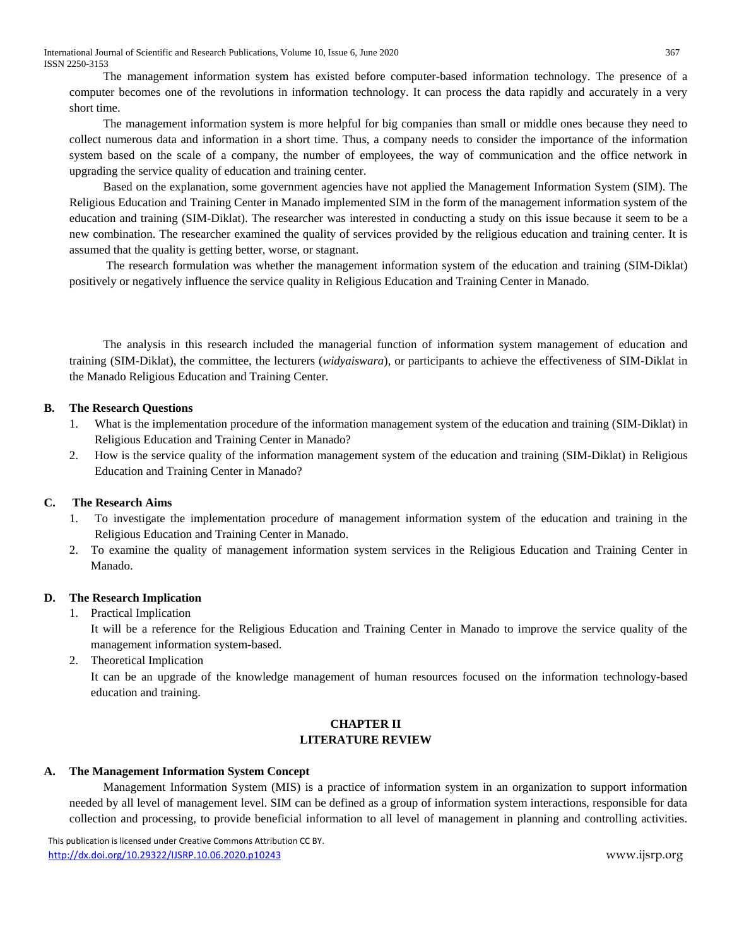International Journal of Scientific and Research Publications, Volume 10, Issue 6, June 2020 367 ISSN 2250-3153

The management information system has existed before computer-based information technology. The presence of a computer becomes one of the revolutions in information technology. It can process the data rapidly and accurately in a very short time.

The management information system is more helpful for big companies than small or middle ones because they need to collect numerous data and information in a short time. Thus, a company needs to consider the importance of the information system based on the scale of a company, the number of employees, the way of communication and the office network in upgrading the service quality of education and training center.

Based on the explanation, some government agencies have not applied the Management Information System (SIM). The Religious Education and Training Center in Manado implemented SIM in the form of the management information system of the education and training (SIM-Diklat). The researcher was interested in conducting a study on this issue because it seem to be a new combination. The researcher examined the quality of services provided by the religious education and training center. It is assumed that the quality is getting better, worse, or stagnant.

The research formulation was whether the management information system of the education and training (SIM-Diklat) positively or negatively influence the service quality in Religious Education and Training Center in Manado.

The analysis in this research included the managerial function of information system management of education and training (SIM-Diklat), the committee, the lecturers (*widyaiswara*), or participants to achieve the effectiveness of SIM-Diklat in the Manado Religious Education and Training Center.

## **B. The Research Questions**

- 1. What is the implementation procedure of the information management system of the education and training (SIM-Diklat) in Religious Education and Training Center in Manado?
- 2. How is the service quality of the information management system of the education and training (SIM-Diklat) in Religious Education and Training Center in Manado?

# **C. The Research Aims**

- 1. To investigate the implementation procedure of management information system of the education and training in the Religious Education and Training Center in Manado.
- 2. To examine the quality of management information system services in the Religious Education and Training Center in Manado.

# **D. The Research Implication**

1. Practical Implication

It will be a reference for the Religious Education and Training Center in Manado to improve the service quality of the management information system-based.

2. Theoretical Implication

It can be an upgrade of the knowledge management of human resources focused on the information technology-based education and training.

# **CHAPTER II LITERATURE REVIEW**

## **A. The Management Information System Concept**

Management Information System (MIS) is a practice of information system in an organization to support information needed by all level of management level. SIM can be defined as a group of information system interactions, responsible for data collection and processing, to provide beneficial information to all level of management in planning and controlling activities.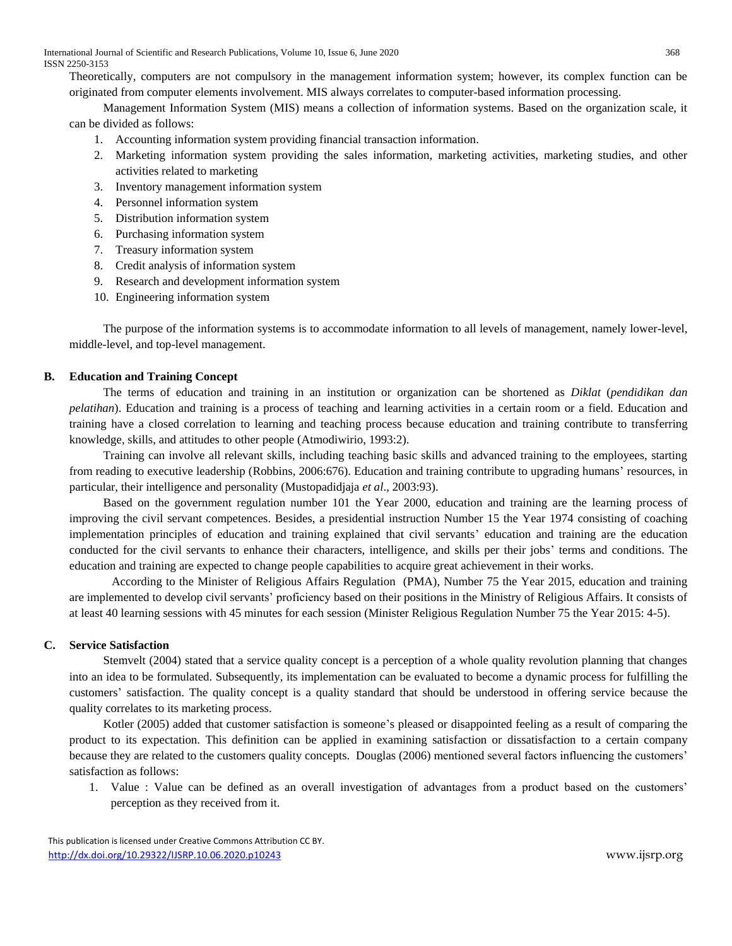Theoretically, computers are not compulsory in the management information system; however, its complex function can be originated from computer elements involvement. MIS always correlates to computer-based information processing.

Management Information System (MIS) means a collection of information systems. Based on the organization scale, it can be divided as follows:

- 1. Accounting information system providing financial transaction information.
- 2. Marketing information system providing the sales information, marketing activities, marketing studies, and other activities related to marketing
- 3. Inventory management information system
- 4. Personnel information system
- 5. Distribution information system
- 6. Purchasing information system
- 7. Treasury information system
- 8. Credit analysis of information system
- 9. Research and development information system
- 10. Engineering information system

The purpose of the information systems is to accommodate information to all levels of management, namely lower-level, middle-level, and top-level management.

## **B. Education and Training Concept**

The terms of education and training in an institution or organization can be shortened as *Diklat* (*pendidikan dan pelatihan*). Education and training is a process of teaching and learning activities in a certain room or a field. Education and training have a closed correlation to learning and teaching process because education and training contribute to transferring knowledge, skills, and attitudes to other people (Atmodiwirio, 1993:2).

Training can involve all relevant skills, including teaching basic skills and advanced training to the employees, starting from reading to executive leadership (Robbins, 2006:676). Education and training contribute to upgrading humans' resources, in particular, their intelligence and personality (Mustopadidjaja *et al*., 2003:93).

Based on the government regulation number 101 the Year 2000, education and training are the learning process of improving the civil servant competences. Besides, a presidential instruction Number 15 the Year 1974 consisting of coaching implementation principles of education and training explained that civil servants' education and training are the education conducted for the civil servants to enhance their characters, intelligence, and skills per their jobs' terms and conditions. The education and training are expected to change people capabilities to acquire great achievement in their works.

According to the Minister of Religious Affairs Regulation (PMA), Number 75 the Year 2015, education and training are implemented to develop civil servants' proficiency based on their positions in the Ministry of Religious Affairs. It consists of at least 40 learning sessions with 45 minutes for each session (Minister Religious Regulation Number 75 the Year 2015: 4-5).

# **C. Service Satisfaction**

Stemvelt (2004) stated that a service quality concept is a perception of a whole quality revolution planning that changes into an idea to be formulated. Subsequently, its implementation can be evaluated to become a dynamic process for fulfilling the customers' satisfaction. The quality concept is a quality standard that should be understood in offering service because the quality correlates to its marketing process.

Kotler (2005) added that customer satisfaction is someone's pleased or disappointed feeling as a result of comparing the product to its expectation. This definition can be applied in examining satisfaction or dissatisfaction to a certain company because they are related to the customers quality concepts. Douglas (2006) mentioned several factors influencing the customers' satisfaction as follows:

1. Value : Value can be defined as an overall investigation of advantages from a product based on the customers' perception as they received from it.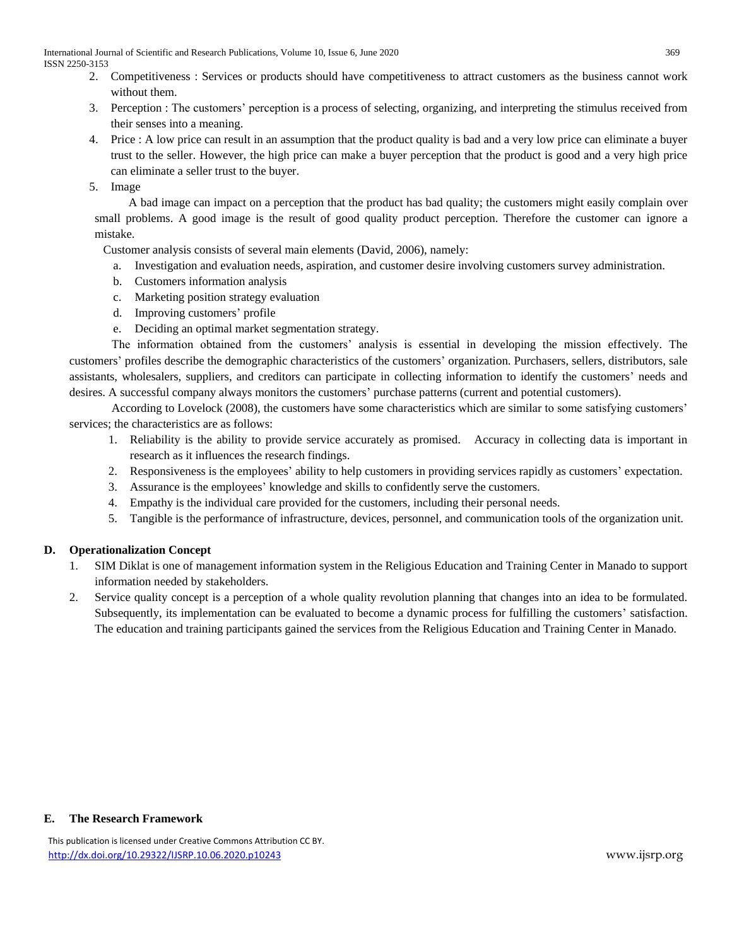- 2. Competitiveness : Services or products should have competitiveness to attract customers as the business cannot work without them.
- 3. Perception : The customers' perception is a process of selecting, organizing, and interpreting the stimulus received from their senses into a meaning.
- 4. Price : A low price can result in an assumption that the product quality is bad and a very low price can eliminate a buyer trust to the seller. However, the high price can make a buyer perception that the product is good and a very high price can eliminate a seller trust to the buyer.

5. Image

A bad image can impact on a perception that the product has bad quality; the customers might easily complain over small problems. A good image is the result of good quality product perception. Therefore the customer can ignore a mistake.

Customer analysis consists of several main elements (David, 2006), namely:

- a. Investigation and evaluation needs, aspiration, and customer desire involving customers survey administration.
- b. Customers information analysis
- c. Marketing position strategy evaluation
- d. Improving customers' profile
- e. Deciding an optimal market segmentation strategy.

The information obtained from the customers' analysis is essential in developing the mission effectively. The customers' profiles describe the demographic characteristics of the customers' organization. Purchasers, sellers, distributors, sale assistants, wholesalers, suppliers, and creditors can participate in collecting information to identify the customers' needs and desires. A successful company always monitors the customers' purchase patterns (current and potential customers).

According to Lovelock (2008), the customers have some characteristics which are similar to some satisfying customers' services; the characteristics are as follows:

- 1. Reliability is the ability to provide service accurately as promised. Accuracy in collecting data is important in research as it influences the research findings.
- 2. Responsiveness is the employees' ability to help customers in providing services rapidly as customers' expectation.
- 3. Assurance is the employees' knowledge and skills to confidently serve the customers.
- 4. Empathy is the individual care provided for the customers, including their personal needs.
- 5. Tangible is the performance of infrastructure, devices, personnel, and communication tools of the organization unit.

# **D. Operationalization Concept**

- 1. SIM Diklat is one of management information system in the Religious Education and Training Center in Manado to support information needed by stakeholders.
- 2. Service quality concept is a perception of a whole quality revolution planning that changes into an idea to be formulated. Subsequently, its implementation can be evaluated to become a dynamic process for fulfilling the customers' satisfaction. The education and training participants gained the services from the Religious Education and Training Center in Manado.

## **E. The Research Framework**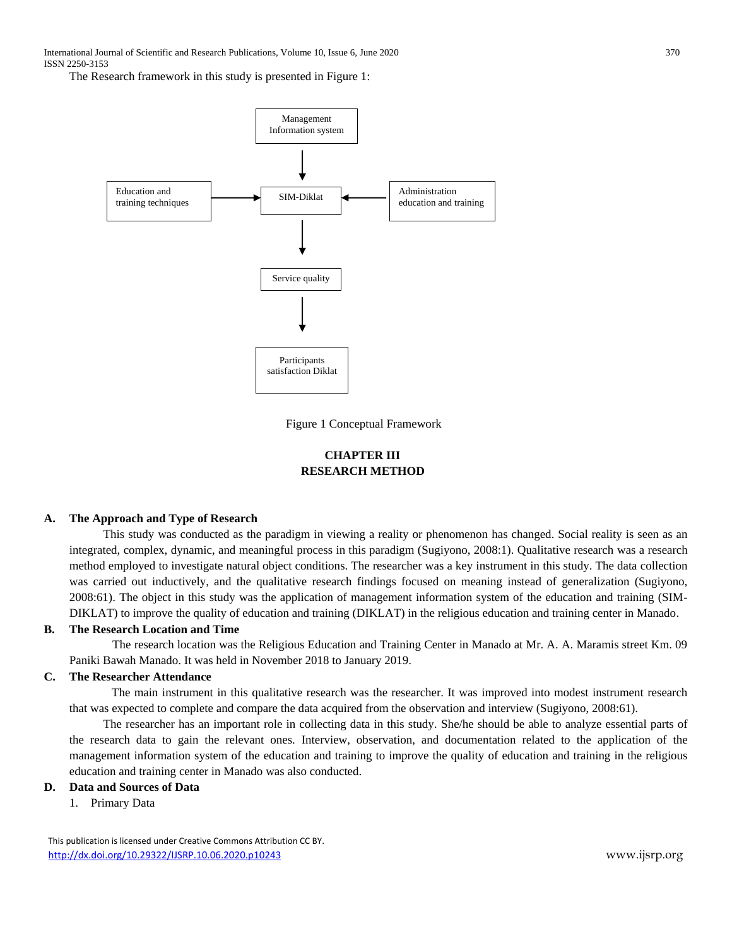The Research framework in this study is presented in Figure 1:



Figure 1 Conceptual Framework

# **CHAPTER III RESEARCH METHOD**

## **A. The Approach and Type of Research**

This study was conducted as the paradigm in viewing a reality or phenomenon has changed. Social reality is seen as an integrated, complex, dynamic, and meaningful process in this paradigm (Sugiyono, 2008:1). Qualitative research was a research method employed to investigate natural object conditions. The researcher was a key instrument in this study. The data collection was carried out inductively, and the qualitative research findings focused on meaning instead of generalization (Sugiyono, 2008:61). The object in this study was the application of management information system of the education and training (SIM-DIKLAT) to improve the quality of education and training (DIKLAT) in the religious education and training center in Manado.

## **B. The Research Location and Time**

The research location was the Religious Education and Training Center in Manado at Mr. A. A. Maramis street Km. 09 Paniki Bawah Manado. It was held in November 2018 to January 2019.

#### **C. The Researcher Attendance**

The main instrument in this qualitative research was the researcher. It was improved into modest instrument research that was expected to complete and compare the data acquired from the observation and interview (Sugiyono, 2008:61).

The researcher has an important role in collecting data in this study. She/he should be able to analyze essential parts of the research data to gain the relevant ones. Interview, observation, and documentation related to the application of the management information system of the education and training to improve the quality of education and training in the religious education and training center in Manado was also conducted.

# **D. Data and Sources of Data**

1. Primary Data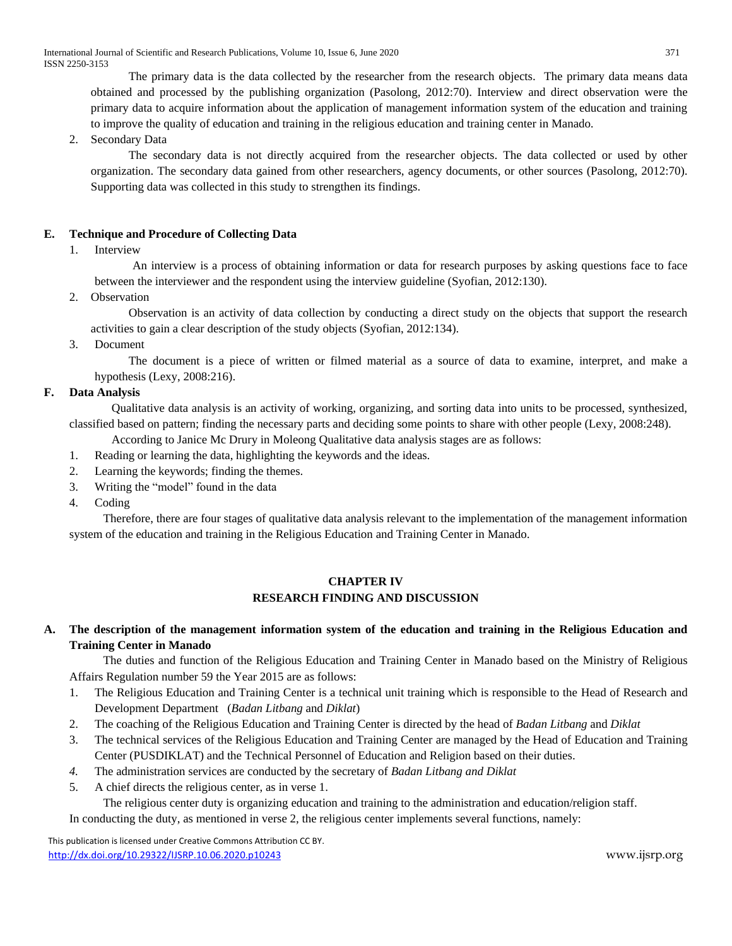The primary data is the data collected by the researcher from the research objects. The primary data means data obtained and processed by the publishing organization (Pasolong, 2012:70). Interview and direct observation were the primary data to acquire information about the application of management information system of the education and training to improve the quality of education and training in the religious education and training center in Manado.

2. Secondary Data

The secondary data is not directly acquired from the researcher objects. The data collected or used by other organization. The secondary data gained from other researchers, agency documents, or other sources (Pasolong, 2012:70). Supporting data was collected in this study to strengthen its findings.

# **E. Technique and Procedure of Collecting Data**

1. Interview

An interview is a process of obtaining information or data for research purposes by asking questions face to face between the interviewer and the respondent using the interview guideline (Syofian, 2012:130).

2. Observation

Observation is an activity of data collection by conducting a direct study on the objects that support the research activities to gain a clear description of the study objects (Syofian, 2012:134).

3. Document

The document is a piece of written or filmed material as a source of data to examine, interpret, and make a hypothesis (Lexy, 2008:216).

# **F. Data Analysis**

Qualitative data analysis is an activity of working, organizing, and sorting data into units to be processed, synthesized, classified based on pattern; finding the necessary parts and deciding some points to share with other people (Lexy, 2008:248).

According to Janice Mc Drury in Moleong Qualitative data analysis stages are as follows:

- 1. Reading or learning the data, highlighting the keywords and the ideas.
- 2. Learning the keywords; finding the themes.
- 3. Writing the "model" found in the data
- 4. Coding

Therefore, there are four stages of qualitative data analysis relevant to the implementation of the management information system of the education and training in the Religious Education and Training Center in Manado.

# **CHAPTER IV RESEARCH FINDING AND DISCUSSION**

# **A. The description of the management information system of the education and training in the Religious Education and Training Center in Manado**

The duties and function of the Religious Education and Training Center in Manado based on the Ministry of Religious Affairs Regulation number 59 the Year 2015 are as follows:

- 1. The Religious Education and Training Center is a technical unit training which is responsible to the Head of Research and Development Department (*Badan Litbang* and *Diklat*)
- 2. The coaching of the Religious Education and Training Center is directed by the head of *Badan Litbang* and *Diklat*
- 3. The technical services of the Religious Education and Training Center are managed by the Head of Education and Training Center (PUSDIKLAT) and the Technical Personnel of Education and Religion based on their duties.
- *4.* The administration services are conducted by the secretary of *Badan Litbang and Diklat*
- 5. A chief directs the religious center, as in verse 1.

The religious center duty is organizing education and training to the administration and education/religion staff. In conducting the duty, as mentioned in verse 2, the religious center implements several functions, namely: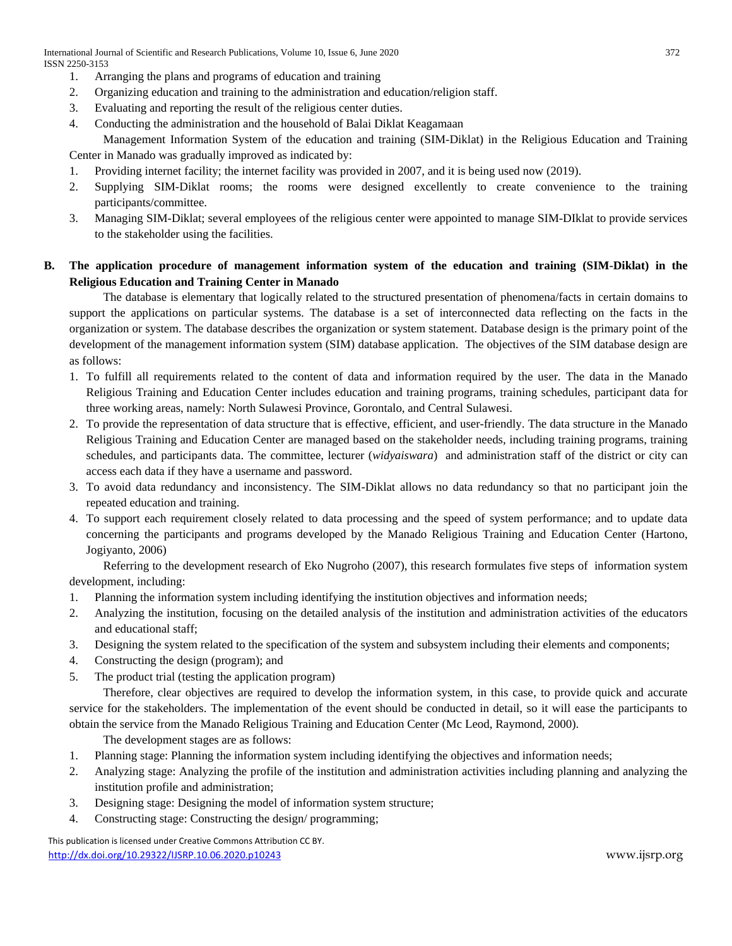International Journal of Scientific and Research Publications, Volume 10, Issue 6, June 2020 372 ISSN 2250-3153

- 1. Arranging the plans and programs of education and training
- 2. Organizing education and training to the administration and education/religion staff.
- 3. Evaluating and reporting the result of the religious center duties.
- 4. Conducting the administration and the household of Balai Diklat Keagamaan

Management Information System of the education and training (SIM-Diklat) in the Religious Education and Training Center in Manado was gradually improved as indicated by:

- 1. Providing internet facility; the internet facility was provided in 2007, and it is being used now (2019).
- 2. Supplying SIM-Diklat rooms; the rooms were designed excellently to create convenience to the training participants/committee.
- 3. Managing SIM-Diklat; several employees of the religious center were appointed to manage SIM-DIklat to provide services to the stakeholder using the facilities.

# **B. The application procedure of management information system of the education and training (SIM-Diklat) in the Religious Education and Training Center in Manado**

The database is elementary that logically related to the structured presentation of phenomena/facts in certain domains to support the applications on particular systems. The database is a set of interconnected data reflecting on the facts in the organization or system. The database describes the organization or system statement. Database design is the primary point of the development of the management information system (SIM) database application. The objectives of the SIM database design are as follows:

- 1. To fulfill all requirements related to the content of data and information required by the user. The data in the Manado Religious Training and Education Center includes education and training programs, training schedules, participant data for three working areas, namely: North Sulawesi Province, Gorontalo, and Central Sulawesi.
- 2. To provide the representation of data structure that is effective, efficient, and user-friendly. The data structure in the Manado Religious Training and Education Center are managed based on the stakeholder needs, including training programs, training schedules, and participants data. The committee, lecturer (*widyaiswara*) and administration staff of the district or city can access each data if they have a username and password.
- 3. To avoid data redundancy and inconsistency. The SIM-Diklat allows no data redundancy so that no participant join the repeated education and training.
- 4. To support each requirement closely related to data processing and the speed of system performance; and to update data concerning the participants and programs developed by the Manado Religious Training and Education Center (Hartono, Jogiyanto, 2006)

Referring to the development research of Eko Nugroho (2007), this research formulates five steps of information system development, including:

- 1. Planning the information system including identifying the institution objectives and information needs;
- 2. Analyzing the institution, focusing on the detailed analysis of the institution and administration activities of the educators and educational staff;
- 3. Designing the system related to the specification of the system and subsystem including their elements and components;
- 4. Constructing the design (program); and
- 5. The product trial (testing the application program)

Therefore, clear objectives are required to develop the information system, in this case, to provide quick and accurate service for the stakeholders. The implementation of the event should be conducted in detail, so it will ease the participants to obtain the service from the Manado Religious Training and Education Center (Mc Leod, Raymond, 2000).

The development stages are as follows:

- 1. Planning stage: Planning the information system including identifying the objectives and information needs;
- 2. Analyzing stage: Analyzing the profile of the institution and administration activities including planning and analyzing the institution profile and administration;
- 3. Designing stage: Designing the model of information system structure;
- 4. Constructing stage: Constructing the design/ programming;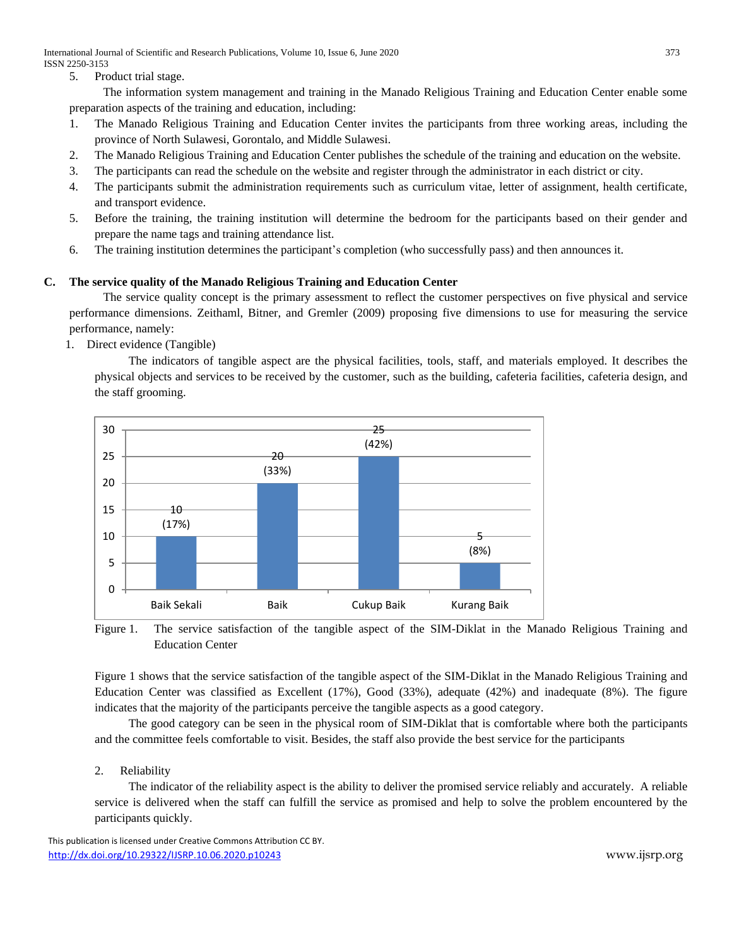International Journal of Scientific and Research Publications, Volume 10, Issue 6, June 2020 373 ISSN 2250-3153

5. Product trial stage.

The information system management and training in the Manado Religious Training and Education Center enable some preparation aspects of the training and education, including:

- 1. The Manado Religious Training and Education Center invites the participants from three working areas, including the province of North Sulawesi, Gorontalo, and Middle Sulawesi.
- 2. The Manado Religious Training and Education Center publishes the schedule of the training and education on the website.
- 3. The participants can read the schedule on the website and register through the administrator in each district or city.
- 4. The participants submit the administration requirements such as curriculum vitae, letter of assignment, health certificate, and transport evidence.
- 5. Before the training, the training institution will determine the bedroom for the participants based on their gender and prepare the name tags and training attendance list.
- 6. The training institution determines the participant's completion (who successfully pass) and then announces it.

# **C. The service quality of the Manado Religious Training and Education Center**

The service quality concept is the primary assessment to reflect the customer perspectives on five physical and service performance dimensions. Zeithaml, Bitner, and Gremler (2009) proposing five dimensions to use for measuring the service performance, namely:

1. Direct evidence (Tangible)

The indicators of tangible aspect are the physical facilities, tools, staff, and materials employed. It describes the physical objects and services to be received by the customer, such as the building, cafeteria facilities, cafeteria design, and the staff grooming.



Figure 1. The service satisfaction of the tangible aspect of the SIM-Diklat in the Manado Religious Training and Education Center

Figure 1 shows that the service satisfaction of the tangible aspect of the SIM-Diklat in the Manado Religious Training and Education Center was classified as Excellent (17%), Good (33%), adequate (42%) and inadequate (8%). The figure indicates that the majority of the participants perceive the tangible aspects as a good category.

The good category can be seen in the physical room of SIM-Diklat that is comfortable where both the participants and the committee feels comfortable to visit. Besides, the staff also provide the best service for the participants

# 2. Reliability

The indicator of the reliability aspect is the ability to deliver the promised service reliably and accurately. A reliable service is delivered when the staff can fulfill the service as promised and help to solve the problem encountered by the participants quickly.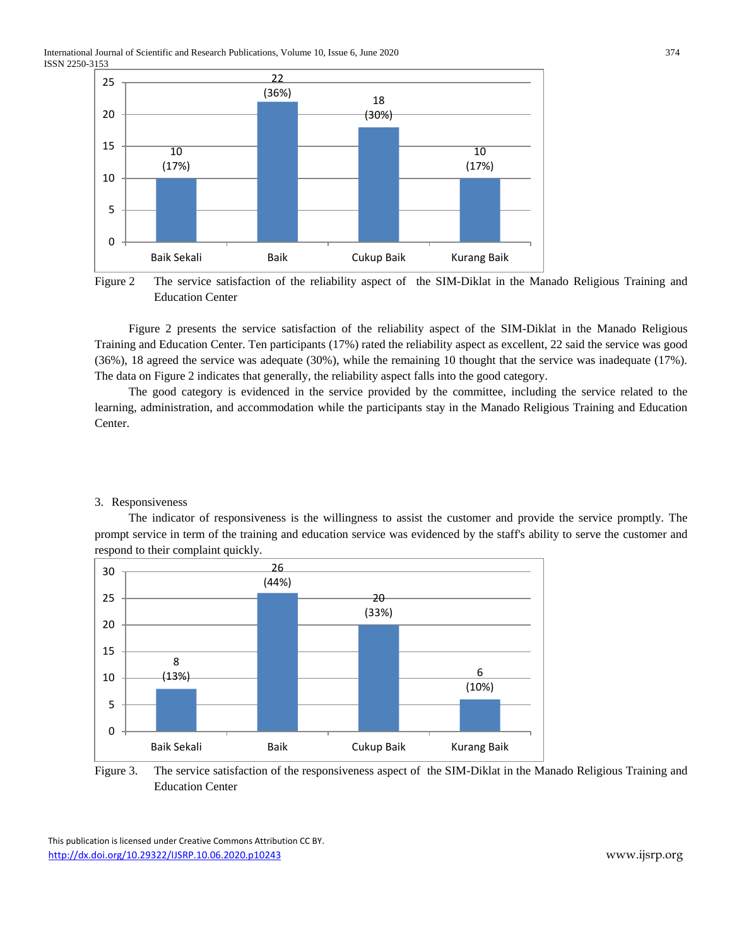International Journal of Scientific and Research Publications, Volume 10, Issue 6, June 2020 374 ISSN 2250-3153



Figure 2 The service satisfaction of the reliability aspect of the SIM-Diklat in the Manado Religious Training and Education Center

Figure 2 presents the service satisfaction of the reliability aspect of the SIM-Diklat in the Manado Religious Training and Education Center. Ten participants (17%) rated the reliability aspect as excellent, 22 said the service was good (36%), 18 agreed the service was adequate (30%), while the remaining 10 thought that the service was inadequate (17%). The data on Figure 2 indicates that generally, the reliability aspect falls into the good category.

The good category is evidenced in the service provided by the committee, including the service related to the learning, administration, and accommodation while the participants stay in the Manado Religious Training and Education Center.

## 3. Responsiveness

The indicator of responsiveness is the willingness to assist the customer and provide the service promptly. The prompt service in term of the training and education service was evidenced by the staff's ability to serve the customer and respond to their complaint quickly.



Figure 3. The service satisfaction of the responsiveness aspect of the SIM-Diklat in the Manado Religious Training and Education Center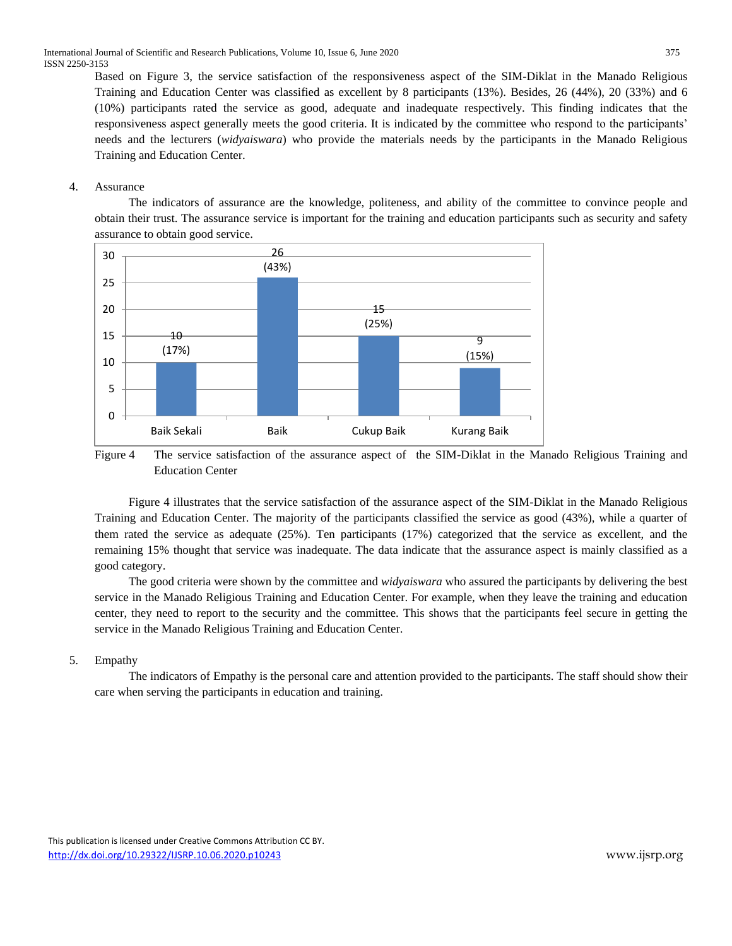Based on Figure 3, the service satisfaction of the responsiveness aspect of the SIM-Diklat in the Manado Religious Training and Education Center was classified as excellent by 8 participants (13%). Besides, 26 (44%), 20 (33%) and 6 (10%) participants rated the service as good, adequate and inadequate respectively. This finding indicates that the responsiveness aspect generally meets the good criteria. It is indicated by the committee who respond to the participants' needs and the lecturers (*widyaiswara*) who provide the materials needs by the participants in the Manado Religious Training and Education Center.

## 4. Assurance

The indicators of assurance are the knowledge, politeness, and ability of the committee to convince people and obtain their trust. The assurance service is important for the training and education participants such as security and safety assurance to obtain good service.



Figure 4 The service satisfaction of the assurance aspect of the SIM-Diklat in the Manado Religious Training and Education Center

Figure 4 illustrates that the service satisfaction of the assurance aspect of the SIM-Diklat in the Manado Religious Training and Education Center. The majority of the participants classified the service as good (43%), while a quarter of them rated the service as adequate (25%). Ten participants (17%) categorized that the service as excellent, and the remaining 15% thought that service was inadequate. The data indicate that the assurance aspect is mainly classified as a good category.

The good criteria were shown by the committee and *widyaiswara* who assured the participants by delivering the best service in the Manado Religious Training and Education Center. For example, when they leave the training and education center, they need to report to the security and the committee. This shows that the participants feel secure in getting the service in the Manado Religious Training and Education Center.

# 5. Empathy

The indicators of Empathy is the personal care and attention provided to the participants. The staff should show their care when serving the participants in education and training.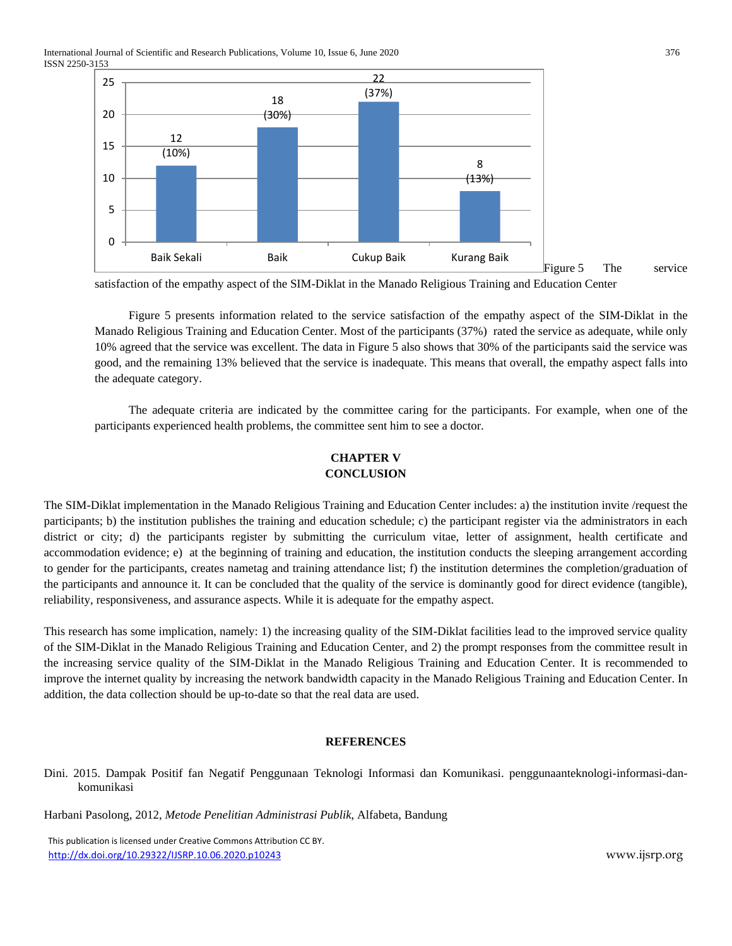International Journal of Scientific and Research Publications, Volume 10, Issue 6, June 2020 376 ISSN 2250-3153



satisfaction of the empathy aspect of the SIM-Diklat in the Manado Religious Training and Education Center

Figure 5 presents information related to the service satisfaction of the empathy aspect of the SIM-Diklat in the Manado Religious Training and Education Center. Most of the participants (37%) rated the service as adequate, while only 10% agreed that the service was excellent. The data in Figure 5 also shows that 30% of the participants said the service was good, and the remaining 13% believed that the service is inadequate. This means that overall, the empathy aspect falls into the adequate category.

The adequate criteria are indicated by the committee caring for the participants. For example, when one of the participants experienced health problems, the committee sent him to see a doctor.

# **CHAPTER V CONCLUSION**

The SIM-Diklat implementation in the Manado Religious Training and Education Center includes: a) the institution invite /request the participants; b) the institution publishes the training and education schedule; c) the participant register via the administrators in each district or city; d) the participants register by submitting the curriculum vitae, letter of assignment, health certificate and accommodation evidence; e) at the beginning of training and education, the institution conducts the sleeping arrangement according to gender for the participants, creates nametag and training attendance list; f) the institution determines the completion/graduation of the participants and announce it. It can be concluded that the quality of the service is dominantly good for direct evidence (tangible), reliability, responsiveness, and assurance aspects. While it is adequate for the empathy aspect.

This research has some implication, namely: 1) the increasing quality of the SIM-Diklat facilities lead to the improved service quality of the SIM-Diklat in the Manado Religious Training and Education Center, and 2) the prompt responses from the committee result in the increasing service quality of the SIM-Diklat in the Manado Religious Training and Education Center. It is recommended to improve the internet quality by increasing the network bandwidth capacity in the Manado Religious Training and Education Center. In addition, the data collection should be up-to-date so that the real data are used.

# **REFERENCES**

Dini. 2015. Dampak Positif fan Negatif Penggunaan Teknologi Informasi dan Komunikasi. penggunaanteknologi-informasi-dankomunikasi

Harbani Pasolong, 2012, *Metode Penelitian Administrasi Publik*, Alfabeta, Bandung